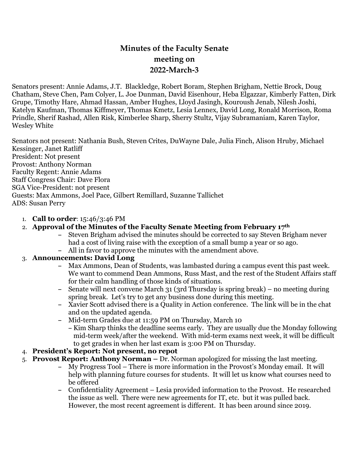# **Minutes of the Faculty Senate meeting on 2022-March-3**

Senators present: Annie Adams, J.T. Blackledge, Robert Boram, Stephen Brigham, Nettie Brock, Doug Chatham, Steve Chen, Pam Colyer, L. Joe Dunman, David Eisenhour, Heba Elgazzar, Kimberly Fatten, Dirk Grupe, Timothy Hare, Ahmad Hassan, Amber Hughes, Lloyd Jasingh, Kouroush Jenab, Nilesh Joshi, Katelyn Kaufman, Thomas Kiffmeyer, Thomas Kmetz, Lesia Lennex, David Long, Ronald Morrison, Roma Prindle, Sherif Rashad, Allen Risk, Kimberlee Sharp, Sherry Stultz, Vijay Subramaniam, Karen Taylor, Wesley White

Senators not present: Nathania Bush, Steven Crites, DuWayne Dale, Julia Finch, Alison Hruby, Michael Kessinger, Janet Ratliff President: Not present Provost: Anthony Norman Faculty Regent: Annie Adams Staff Congress Chair: Dave Flora SGA Vice-President: not present Guests: Max Ammons, Joel Pace, Gilbert Remillard, Suzanne Tallichet ADS: Susan Perry

- 1. **Call to order**: 15:46/3:46 PM
- 2. **Approval of the Minutes of the Faculty Senate Meeting from February 17th**
	- **–** Steven Brigham advised the minutes should be corrected to say Steven Brigham never had a cost of living raise with the exception of a small bump a year or so ago.
	- **–** All in favor to approve the minutes with the amendment above.

# 3. **Announcements: David Long**

- **–** Max Ammons, Dean of Students, was lambasted during a campus event this past week. We want to commend Dean Ammons, Russ Mast, and the rest of the Student Affairs staff for their calm handling of those kinds of situations.
- **–** Senate will next convene March 31 (3rd Thursday is spring break) no meeting during spring break. Let's try to get any business done during this meeting.
- **–** Xavier Scott advised there is a Quality in Action conference. The link will be in the chat and on the updated agenda.
- **–** Mid-term Grades due at 11:59 PM on Thursday, March 10
	- **–** Kim Sharp thinks the deadline seems early. They are usually due the Monday following mid-term week/after the weekend. With mid-term exams next week, it will be difficult to get grades in when her last exam is 3:00 PM on Thursday.
- 4. **President's Report: Not present, no repot**
- 5. **Provost Report: Anthony Norman –** Dr. Norman apologized for missing the last meeting.
	- **–** My Progress Tool There is more information in the Provost's Monday email. It will help with planning future courses for students. It will let us know what courses need to be offered
	- **–** Confidentiality Agreement Lesia provided information to the Provost. He researched the issue as well. There were new agreements for IT, etc. but it was pulled back. However, the most recent agreement is different. It has been around since 2019.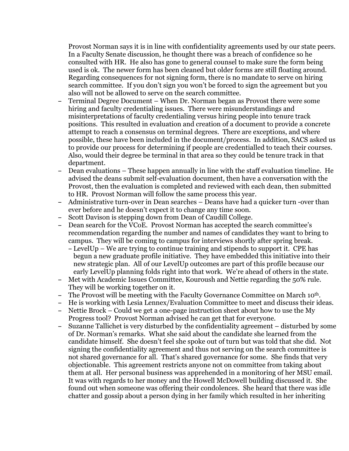Provost Norman says it is in line with confidentiality agreements used by our state peers. In a Faculty Senate discussion, he thought there was a breach of confidence so he consulted with HR. He also has gone to general counsel to make sure the form being used is ok. The newer form has been cleaned but older forms are still floating around. Regarding consequences for not signing form, there is no mandate to serve on hiring search committee. If you don't sign you won't be forced to sign the agreement but you also will not be allowed to serve on the search committee.

- **–** Terminal Degree Document When Dr. Norman began as Provost there were some hiring and faculty credentialing issues. There were misunderstandings and misinterpretations of faculty credentialing versus hiring people into tenure track positions. This resulted in evaluation and creation of a document to provide a concrete attempt to reach a consensus on terminal degrees. There are exceptions, and where possible, these have been included in the document/process. In addition, SACS asked us to provide our process for determining if people are credentialled to teach their courses. Also, would their degree be terminal in that area so they could be tenure track in that department.
- **–** Dean evaluations These happen annually in line with the staff evaluation timeline. He advised the deans submit self-evaluation document, then have a conversation with the Provost, then the evaluation is completed and reviewed with each dean, then submitted to HR. Provost Norman will follow the same process this year.
- **–** Administrative turn-over in Dean searches Deans have had a quicker turn -over than ever before and he doesn't expect it to change any time soon.
- **–** Scott Davison is stepping down from Dean of Caudill College.
- **–** Dean search for the VCoE. Provost Norman has accepted the search committee's recommendation regarding the number and names of candidates they want to bring to campus. They will be coming to campus for interviews shortly after spring break.
	- **–** LevelUp We are trying to continue training and stipends to support it. CPE has begun a new graduate profile initiative. They have embedded this initiative into their new strategic plan. All of our LevelUp outcomes are part of this profile because our early LevelUp planning folds right into that work. We're ahead of others in the state.
- **–** Met with Academic Issues Committee, Kouroush and Nettie regarding the 50% rule. They will be working together on it.
- **–** The Provost will be meeting with the Faculty Governance Committee on March 10th.
- **–** He is working with Lesia Lennex/Evaluation Committee to meet and discuss their ideas.
- **–** Nettie Brock Could we get a one-page instruction sheet about how to use the My Progress tool? Provost Norman advised he can get that for everyone.
- **–** Suzanne Tallichet is very disturbed by the confidentiality agreement disturbed by some of Dr. Norman's remarks. What she said about the candidate she learned from the candidate himself. She doesn't feel she spoke out of turn but was told that she did. Not signing the confidentiality agreement and thus not serving on the search committee is not shared governance for all. That's shared governance for some. She finds that very objectionable. This agreement restricts anyone not on committee from taking about them at all. Her personal business was apprehended in a monitoring of her MSU email. It was with regards to her money and the Howell McDowell building discussed it. She found out when someone was offering their condolences. She heard that there was idle chatter and gossip about a person dying in her family which resulted in her inheriting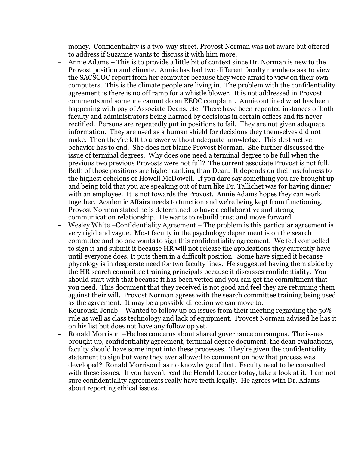money. Confidentiality is a two-way street. Provost Norman was not aware but offered to address if Suzanne wants to discuss it with him more.

- **–** Annie Adams This is to provide a little bit of context since Dr. Norman is new to the Provost position and climate. Annie has had two different faculty members ask to view the SACSCOC report from her computer because they were afraid to view on their own computers. This is the climate people are living in. The problem with the confidentiality agreement is there is no off ramp for a whistle blower. It is not addressed in Provost comments and someone cannot do an EEOC complaint. Annie outlined what has been happening with pay of Associate Deans, etc. There have been repeated instances of both faculty and administrators being harmed by decisions in certain offices and its never rectified. Persons are repeatedly put in positions to fail. They are not given adequate information. They are used as a human shield for decisions they themselves did not make. Then they're left to answer without adequate knowledge. This destructive behavior has to end. She does not blame Provost Norman. She further discussed the issue of terminal degrees. Why does one need a terminal degree to be full when the previous two previous Provosts were not full? The current associate Provost is not full. Both of those positions are higher ranking than Dean. It depends on their usefulness to the highest echelons of Howell McDowell. If you dare say something you are brought up and being told that you are speaking out of turn like Dr. Tallichet was for having dinner with an employee. It is not towards the Provost. Annie Adams hopes they can work together. Academic Affairs needs to function and we're being kept from functioning. Provost Norman stated he is determined to have a collaborative and strong communication relationship. He wants to rebuild trust and move forward.
- **–** Wesley White –Confidentiality Agreement The problem is this particular agreement is very rigid and vague. Most faculty in the psychology department is on the search committee and no one wants to sign this confidentiality agreement. We feel compelled to sign it and submit it because HR will not release the applications they currently have until everyone does. It puts them in a difficult position. Some have signed it because phycology is in desperate need for two faculty lines. He suggested having them abide by the HR search committee training principals because it discusses confidentiality. You should start with that because it has been vetted and you can get the commitment that you need. This document that they received is not good and feel they are returning them against their will. Provost Norman agrees with the search committee training being used as the agreement. It may be a possible direction we can move to.
- **–** Kouroush Jenab Wanted to follow up on issues from their meeting regarding the 50% rule as well as class technology and lack of equipment. Provost Norman advised he has it on his list but does not have any follow up yet.
- **–** Ronald Morrison –He has concerns about shared governance on campus. The issues brought up, confidentiality agreement, terminal degree document, the dean evaluations, faculty should have some input into these processes. They're given the confidentiality statement to sign but were they ever allowed to comment on how that process was developed? Ronald Morrison has no knowledge of that. Faculty need to be consulted with these issues. If you haven't read the Herald Leader today, take a look at it. I am not sure confidentiality agreements really have teeth legally. He agrees with Dr. Adams about reporting ethical issues.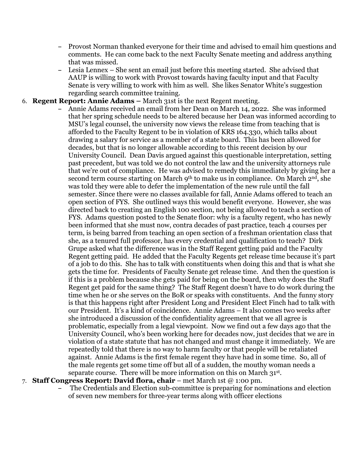- **–** Provost Norman thanked everyone for their time and advised to email him questions and comments. He can come back to the next Faculty Senate meeting and address anything that was missed.
- **–** Lesia Lennex She sent an email just before this meeting started. She advised that AAUP is willing to work with Provost towards having faculty input and that Faculty Senate is very willing to work with him as well. She likes Senator White's suggestion regarding search committee training.

#### 6. **Regent Report: Annie Adams –** March 31st is the next Regent meeting.

**–** Annie Adams received an email from her Dean on March 14, 2022. She was informed that her spring schedule needs to be altered because her Dean was informed according to MSU's legal counsel, the university now views the release time from teaching that is afforded to the Faculty Regent to be in violation of KRS 164.330, which talks about drawing a salary for service as a member of a state board. This has been allowed for decades, but that is no longer allowable according to this recent decision by our University Council. Dean Davis argued against this questionable interpretation, setting past precedent, but was told we do not control the law and the university attorneys rule that we're out of compliance. He was advised to remedy this immediately by giving her a second term course starting on March 9<sup>th</sup> to make us in compliance. On March 2<sup>nd</sup>, she was told they were able to defer the implementation of the new rule until the fall semester. Since there were no classes available for fall, Annie Adams offered to teach an open section of FYS. She outlined ways this would benefit everyone. However, she was directed back to creating an English 100 section, not being allowed to teach a section of FYS. Adams question posted to the Senate floor: why is a faculty regent, who has newly been informed that she must now, contra decades of past practice, teach 4 courses per term, is being barred from teaching an open section of a freshman orientation class that she, as a tenured full professor, has every credential and qualification to teach? Dirk Grupe asked what the difference was in the Staff Regent getting paid and the Faculty Regent getting paid. He added that the Faculty Regents get release time because it's part of a job to do this. She has to talk with constituents when doing this and that is what she gets the time for. Presidents of Faculty Senate get release time. And then the question is if this is a problem because she gets paid for being on the board, then why does the Staff Regent get paid for the same thing? The Staff Regent doesn't have to do work during the time when he or she serves on the BoR or speaks with constituents. And the funny story is that this happens right after President Long and President Elect Finch had to talk with our President. It's a kind of coincidence. Annie Adams – It also comes two weeks after she introduced a discussion of the confidentiality agreement that we all agree is problematic, especially from a legal viewpoint. Now we find out a few days ago that the University Council, who's been working here for decades now, just decides that we are in violation of a state statute that has not changed and must change it immediately. We are repeatedly told that there is no way to harm faculty or that people will be retaliated against. Annie Adams is the first female regent they have had in some time. So, all of the male regents get some time off but all of a sudden, the mouthy woman needs a separate course. There will be more information on this on March 31st.

#### 7. **Staff Congress Report: David flora, chair** – met March 1st @ 1:00 pm.

**–** The Credentials and Election sub-committee is preparing for nominations and election of seven new members for three-year terms along with officer elections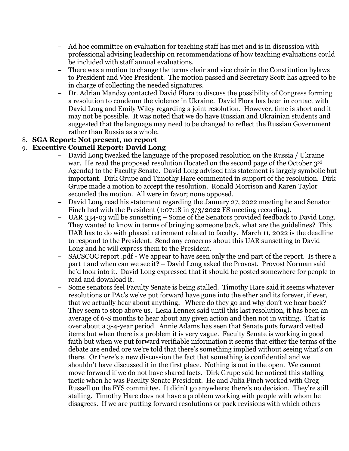- **–** Ad hoc committee on evaluation for teaching staff has met and is in discussion with professional advising leadership on recommendations of how teaching evaluations could be included with staff annual evaluations.
- **–** There was a motion to change the terms chair and vice chair in the Constitution bylaws to President and Vice President. The motion passed and Secretary Scott has agreed to be in charge of collecting the needed signatures.
- **–** Dr. Adrian Mandzy contacted David Flora to discuss the possibility of Congress forming a resolution to condemn the violence in Ukraine. David Flora has been in contact with David Long and Emily Wiley regarding a joint resolution. However, time is short and it may not be possible. It was noted that we do have Russian and Ukrainian students and suggested that the language may need to be changed to reflect the Russian Government rather than Russia as a whole.

## 8. **SGA Report: Not present, no report**

#### 9. **Executive Council Report: David Long**

- **–** David Long tweaked the language of the proposed resolution on the Russia / Ukraine war. He read the proposed resolution (located on the second page of the October 3rd Agenda) to the Faculty Senate. David Long advised this statement is largely symbolic but important. Dirk Grupe and Timothy Hare commented in support of the resolution. Dirk Grupe made a motion to accept the resolution. Ronald Morrison and Karen Taylor seconded the motion. All were in favor; none opposed.
- **–** David Long read his statement regarding the January 27, 2022 meeting he and Senator Finch had with the President (1:07:18 in  $3/3/2022$  FS meeting recording).
- **–** UAR 334-03 will be sunsetting Some of the Senators provided feedback to David Long. They wanted to know in terms of bringing someone back, what are the guidelines? This UAR has to do with phased retirement related to faculty. March 11, 2022 is the deadline to respond to the President. Send any concerns about this UAR sunsetting to David Long and he will express them to the President.
- **–** SACSCOC report .pdf We appear to have seen only the 2nd part of the report. Is there a part 1 and when can we see it? – David Long asked the Provost. Provost Norman said he'd look into it. David Long expressed that it should be posted somewhere for people to read and download it.
- **–** Some senators feel Faculty Senate is being stalled. Timothy Hare said it seems whatever resolutions or PAc's we've put forward have gone into the ether and its forever, if ever, that we actually hear about anything. Where do they go and why don't we hear back? They seem to stop above us. Lesia Lennex said until this last resolution, it has been an average of 6-8 months to hear about any given action and then not in writing. That is over about a 3-4-year period. Annie Adams has seen that Senate puts forward vetted items but when there is a problem it is very vague. Faculty Senate is working in good faith but when we put forward verifiable information it seems that either the terms of the debate are ended ore we're told that there's something implied without seeing what's on there. Or there's a new discussion the fact that something is confidential and we shouldn't have discussed it in the first place. Nothing is out in the open. We cannot move forward if we do not have shared facts. Dirk Grupe said he noticed this stalling tactic when he was Faculty Senate President. He and Julia Finch worked with Greg Russell on the FYS committee. It didn't go anywhere; there's no decision. They're still stalling. Timothy Hare does not have a problem working with people with whom he disagrees. If we are putting forward resolutions or pack revisions with which others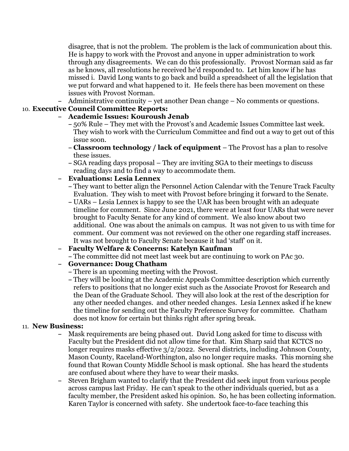disagree, that is not the problem. The problem is the lack of communication about this. He is happy to work with the Provost and anyone in upper administration to work through any disagreements. We can do this professionally. Provost Norman said as far as he knows, all resolutions he received he'd responded to. Let him know if he has missed i. David Long wants to go back and build a spreadsheet of all the legislation that we put forward and what happened to it. He feels there has been movement on these issues with Provost Norman.

**–** Administrative continuity – yet another Dean change – No comments or questions.

#### 10. **Executive Council Committee Reports:**

## **– Academic Issues: Kouroush Jenab**

- **–** 50% Rule They met with the Provost's and Academic Issues Committee last week. They wish to work with the Curriculum Committee and find out a way to get out of this issue soon.
- **– Classroom technology / lack of equipment** The Provost has a plan to resolve these issues.
- **–** SGA reading days proposal They are inviting SGA to their meetings to discuss reading days and to find a way to accommodate them.

## **– Evaluations: Lesia Lennex**

- **–** They want to better align the Personnel Action Calendar with the Tenure Track Faculty Evaluation. They wish to meet with Provost before bringing it forward to the Senate.
- **–** UARs Lesia Lennex is happy to see the UAR has been brought with an adequate timeline for comment. Since June 2021, there were at least four UARs that were never brought to Faculty Senate for any kind of comment. We also know about two additional. One was about the animals on campus. It was not given to us with time for comment. Our comment was not reviewed on the other one regarding staff increases. It was not brought to Faculty Senate because it had 'staff' on it.

# **– Faculty Welfare & Concerns: Katelyn Kaufman**

**–** The committee did not meet last week but are continuing to work on PAc 30.

# **– Governance: Doug Chatham**

- **–** There is an upcoming meeting with the Provost.
- **–** They will be looking at the Academic Appeals Committee description which currently refers to positions that no longer exist such as the Associate Provost for Research and the Dean of the Graduate School. They will also look at the rest of the description for any other needed changes. and other needed changes. Lesia Lennex asked if he knew the timeline for sending out the Faculty Preference Survey for committee. Chatham does not know for certain but thinks right after spring break.

#### 11. **New Business:**

- **–** Mask requirements are being phased out. David Long asked for time to discuss with Faculty but the President did not allow time for that. Kim Sharp said that KCTCS no longer requires masks effective  $3/2/2022$ . Several districts, including Johnson County, Mason County, Raceland-Worthington, also no longer require masks. This morning she found that Rowan County Middle School is mask optional. She has heard the students are confused about where they have to wear their masks.
- **–** Steven Brigham wanted to clarify that the President did seek input from various people across campus last Friday. He can't speak to the other individuals queried, but as a faculty member, the President asked his opinion. So, he has been collecting information. Karen Taylor is concerned with safety. She undertook face-to-face teaching this